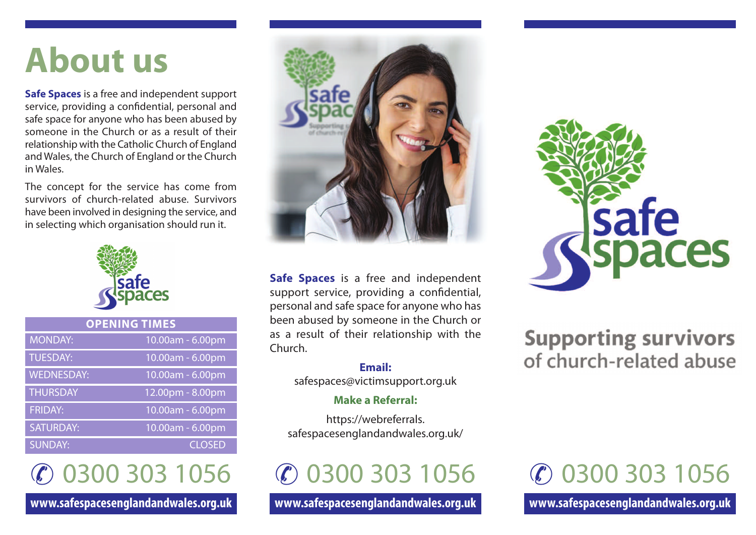# **About us**

**Safe Spaces** is a free and independent support service, providing a confidential, personal and safe space for anyone who has been abused by someone in the Church or as a result of their relationship with the Catholic Church of England and Wales, the Church of England or the Church in Wales.

The concept for the service has come from survivors of church-related abuse. Survivors have been involved in designing the service, and in selecting which organisation should run it.



| <b>OPENING TIMES</b> |                     |
|----------------------|---------------------|
| <b>MONDAY:</b>       | 10.00am - 6.00pm    |
| <b>TUESDAY:</b>      | 10.00am - 6.00pm    |
| <b>WEDNESDAY:</b>    | 10.00am - 6.00pm    |
| <b>THURSDAY</b>      | $12.00$ pm - 8.00pm |
| <b>FRIDAY:</b>       | 10.00am - 6.00pm    |
| <b>SATURDAY:</b>     | 10.00am - 6.00pm    |
| <b>SUNDAY:</b>       | <b>CLOSED</b>       |

✆ 0300 303 1056

**www.safespacesenglandandwales.org.uk**



**Safe Spaces** is a free and independent support service, providing a confidential, personal and safe space for anyone who has been abused by someone in the Church or as a result of their relationship with the Church.

> **Email:** safespaces@victimsupport.org.uk

#### **Make a Referral:**

https://webreferrals. safespacesenglandandwales.org.uk/

✆ 0300 303 1056

**www.safespacesenglandandwales.org.uk**



### **Supporting survivors** of church-related abuse

## ✆ 0300 303 1056

**www.safespacesenglandandwales.org.uk**